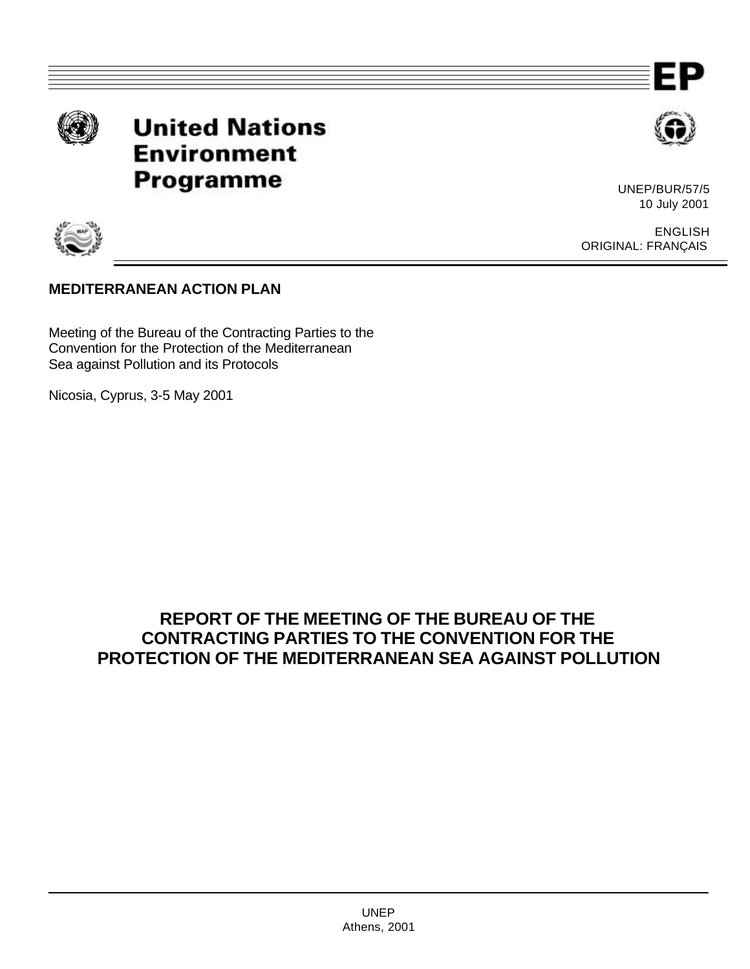

**United Nations Environment Programme** 



UNEP/BUR/57/5 10 July 2001



ENGLISH ORIGINAL: FRANÇAIS

## **MEDITERRANEAN ACTION PLAN**

Meeting of the Bureau of the Contracting Parties to the Convention for the Protection of the Mediterranean Sea against Pollution and its Protocols

Nicosia, Cyprus, 3-5 May 2001

# **REPORT OF THE MEETING OF THE BUREAU OF THE CONTRACTING PARTIES TO THE CONVENTION FOR THE PROTECTION OF THE MEDITERRANEAN SEA AGAINST POLLUTION**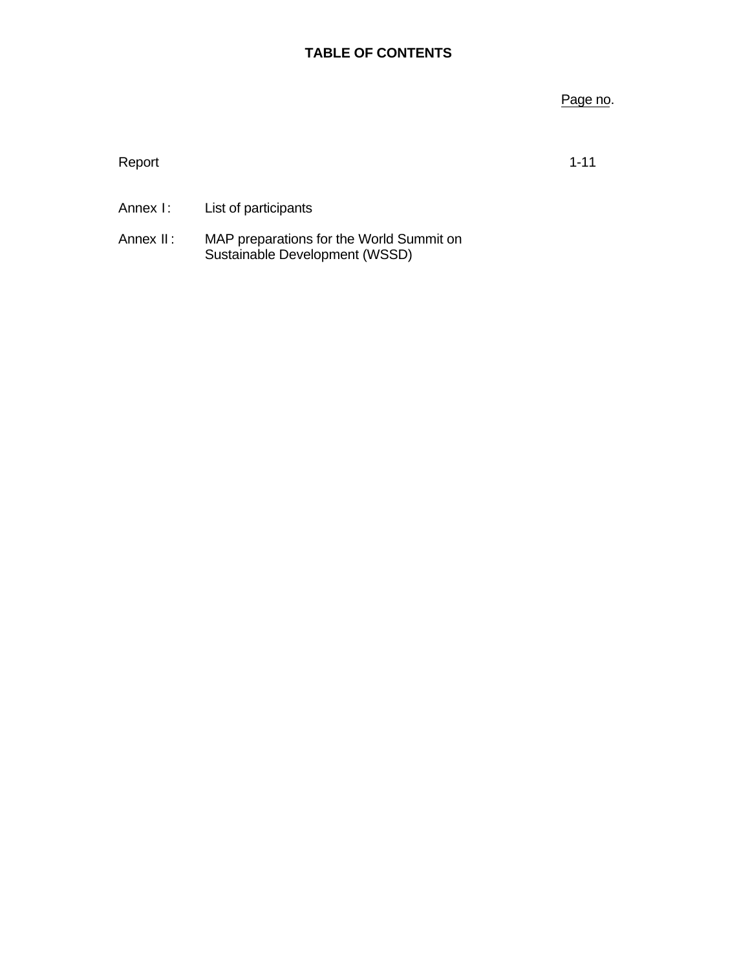### **TABLE OF CONTENTS**

### Page no.

Report that the contract of the contract of the contract of the contract of the contract of the contract of the contract of the contract of the contract of the contract of the contract of the contract of the contract of th

- Annex I: List of participants
- Annex II: MAP preparations for the World Summit on Sustainable Development (WSSD)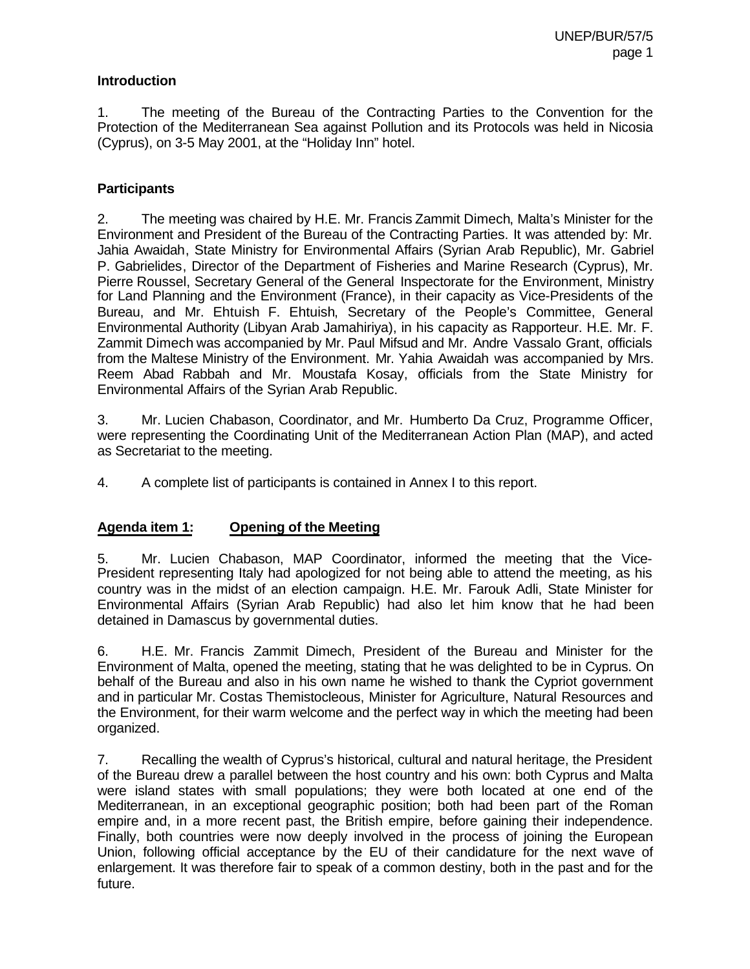#### **Introduction**

1. The meeting of the Bureau of the Contracting Parties to the Convention for the Protection of the Mediterranean Sea against Pollution and its Protocols was held in Nicosia (Cyprus), on 3-5 May 2001, at the "Holiday Inn" hotel.

### **Participants**

2. The meeting was chaired by H.E. Mr. Francis Zammit Dimech, Malta's Minister for the Environment and President of the Bureau of the Contracting Parties. It was attended by: Mr. Jahia Awaidah, State Ministry for Environmental Affairs (Syrian Arab Republic), Mr. Gabriel P. Gabrielides, Director of the Department of Fisheries and Marine Research (Cyprus), Mr. Pierre Roussel, Secretary General of the General Inspectorate for the Environment, Ministry for Land Planning and the Environment (France), in their capacity as Vice-Presidents of the Bureau, and Mr. Ehtuish F. Ehtuish, Secretary of the People's Committee, General Environmental Authority (Libyan Arab Jamahiriya), in his capacity as Rapporteur. H.E. Mr. F. Zammit Dimech was accompanied by Mr. Paul Mifsud and Mr. Andre Vassalo Grant, officials from the Maltese Ministry of the Environment. Mr. Yahia Awaidah was accompanied by Mrs. Reem Abad Rabbah and Mr. Moustafa Kosay, officials from the State Ministry for Environmental Affairs of the Syrian Arab Republic.

3. Mr. Lucien Chabason, Coordinator, and Mr. Humberto Da Cruz, Programme Officer, were representing the Coordinating Unit of the Mediterranean Action Plan (MAP), and acted as Secretariat to the meeting.

4. A complete list of participants is contained in Annex I to this report.

### **Agenda item 1: Opening of the Meeting**

5. Mr. Lucien Chabason, MAP Coordinator, informed the meeting that the Vice-President representing Italy had apologized for not being able to attend the meeting, as his country was in the midst of an election campaign. H.E. Mr. Farouk Adli, State Minister for Environmental Affairs (Syrian Arab Republic) had also let him know that he had been detained in Damascus by governmental duties.

6. H.E. Mr. Francis Zammit Dimech, President of the Bureau and Minister for the Environment of Malta, opened the meeting, stating that he was delighted to be in Cyprus. On behalf of the Bureau and also in his own name he wished to thank the Cypriot government and in particular Mr. Costas Themistocleous, Minister for Agriculture, Natural Resources and the Environment, for their warm welcome and the perfect way in which the meeting had been organized.

7. Recalling the wealth of Cyprus's historical, cultural and natural heritage, the President of the Bureau drew a parallel between the host country and his own: both Cyprus and Malta were island states with small populations; they were both located at one end of the Mediterranean, in an exceptional geographic position; both had been part of the Roman empire and, in a more recent past, the British empire, before gaining their independence. Finally, both countries were now deeply involved in the process of joining the European Union, following official acceptance by the EU of their candidature for the next wave of enlargement. It was therefore fair to speak of a common destiny, both in the past and for the future.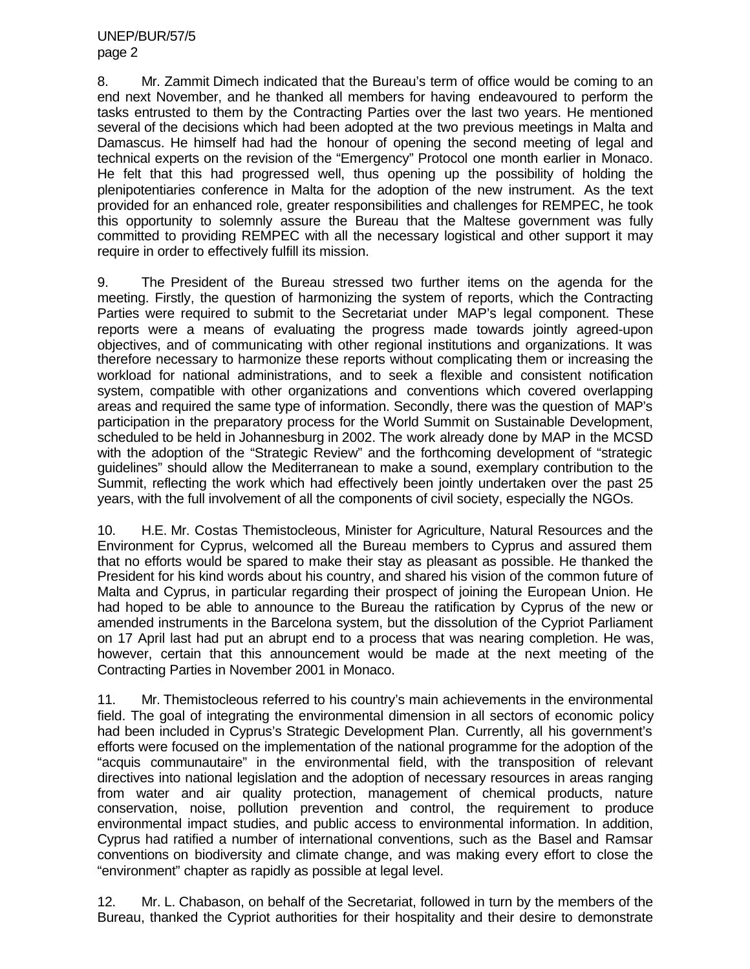8. Mr. Zammit Dimech indicated that the Bureau's term of office would be coming to an end next November, and he thanked all members for having endeavoured to perform the tasks entrusted to them by the Contracting Parties over the last two years. He mentioned several of the decisions which had been adopted at the two previous meetings in Malta and Damascus. He himself had had the honour of opening the second meeting of legal and technical experts on the revision of the "Emergency" Protocol one month earlier in Monaco. He felt that this had progressed well, thus opening up the possibility of holding the plenipotentiaries conference in Malta for the adoption of the new instrument. As the text provided for an enhanced role, greater responsibilities and challenges for REMPEC, he took this opportunity to solemnly assure the Bureau that the Maltese government was fully committed to providing REMPEC with all the necessary logistical and other support it may require in order to effectively fulfill its mission.

9. The President of the Bureau stressed two further items on the agenda for the meeting. Firstly, the question of harmonizing the system of reports, which the Contracting Parties were required to submit to the Secretariat under MAP's legal component. These reports were a means of evaluating the progress made towards jointly agreed-upon objectives, and of communicating with other regional institutions and organizations. It was therefore necessary to harmonize these reports without complicating them or increasing the workload for national administrations, and to seek a flexible and consistent notification system, compatible with other organizations and conventions which covered overlapping areas and required the same type of information. Secondly, there was the question of MAP's participation in the preparatory process for the World Summit on Sustainable Development, scheduled to be held in Johannesburg in 2002. The work already done by MAP in the MCSD with the adoption of the "Strategic Review" and the forthcoming development of "strategic guidelines" should allow the Mediterranean to make a sound, exemplary contribution to the Summit, reflecting the work which had effectively been jointly undertaken over the past 25 years, with the full involvement of all the components of civil society, especially the NGOs.

10. H.E. Mr. Costas Themistocleous, Minister for Agriculture, Natural Resources and the Environment for Cyprus, welcomed all the Bureau members to Cyprus and assured them that no efforts would be spared to make their stay as pleasant as possible. He thanked the President for his kind words about his country, and shared his vision of the common future of Malta and Cyprus, in particular regarding their prospect of joining the European Union. He had hoped to be able to announce to the Bureau the ratification by Cyprus of the new or amended instruments in the Barcelona system, but the dissolution of the Cypriot Parliament on 17 April last had put an abrupt end to a process that was nearing completion. He was, however, certain that this announcement would be made at the next meeting of the Contracting Parties in November 2001 in Monaco.

11. Mr. Themistocleous referred to his country's main achievements in the environmental field. The goal of integrating the environmental dimension in all sectors of economic policy had been included in Cyprus's Strategic Development Plan. Currently, all his government's efforts were focused on the implementation of the national programme for the adoption of the "acquis communautaire" in the environmental field, with the transposition of relevant directives into national legislation and the adoption of necessary resources in areas ranging from water and air quality protection, management of chemical products, nature conservation, noise, pollution prevention and control, the requirement to produce environmental impact studies, and public access to environmental information. In addition, Cyprus had ratified a number of international conventions, such as the Basel and Ramsar conventions on biodiversity and climate change, and was making every effort to close the "environment" chapter as rapidly as possible at legal level.

12. Mr. L. Chabason, on behalf of the Secretariat, followed in turn by the members of the Bureau, thanked the Cypriot authorities for their hospitality and their desire to demonstrate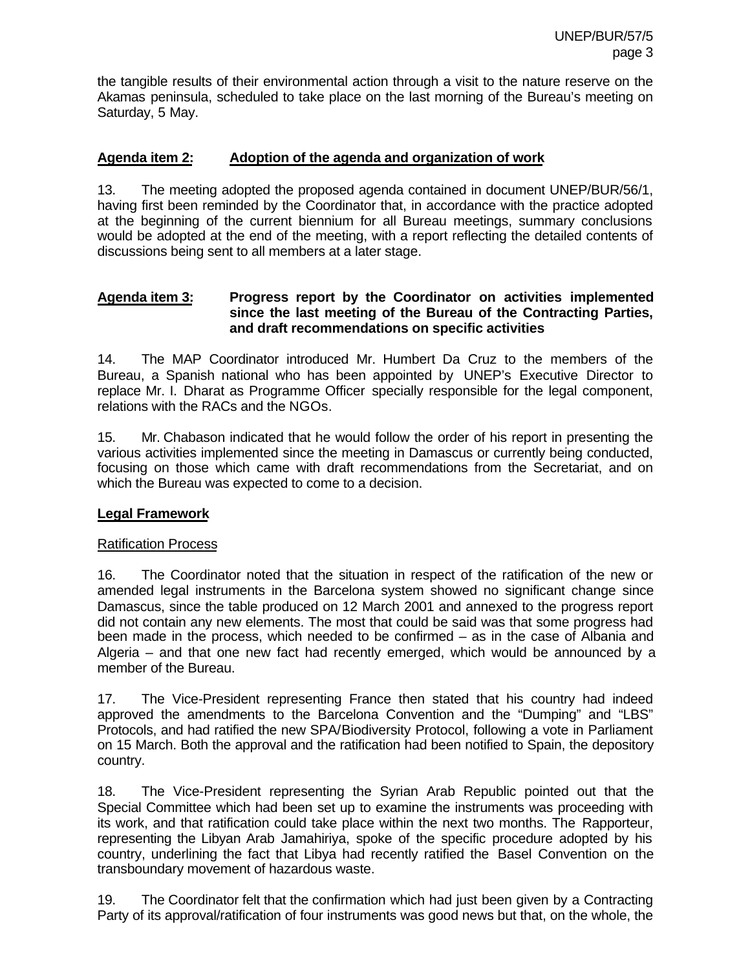the tangible results of their environmental action through a visit to the nature reserve on the Akamas peninsula, scheduled to take place on the last morning of the Bureau's meeting on Saturday, 5 May.

#### **Agenda item 2: Adoption of the agenda and organization of work**

13. The meeting adopted the proposed agenda contained in document UNEP/BUR/56/1, having first been reminded by the Coordinator that, in accordance with the practice adopted at the beginning of the current biennium for all Bureau meetings, summary conclusions would be adopted at the end of the meeting, with a report reflecting the detailed contents of discussions being sent to all members at a later stage.

#### **Agenda item 3: Progress report by the Coordinator on activities implemented since the last meeting of the Bureau of the Contracting Parties, and draft recommendations on specific activities**

14. The MAP Coordinator introduced Mr. Humbert Da Cruz to the members of the Bureau, a Spanish national who has been appointed by UNEP's Executive Director to replace Mr. I. Dharat as Programme Officer specially responsible for the legal component, relations with the RACs and the NGOs.

15. Mr. Chabason indicated that he would follow the order of his report in presenting the various activities implemented since the meeting in Damascus or currently being conducted, focusing on those which came with draft recommendations from the Secretariat, and on which the Bureau was expected to come to a decision.

### **Legal Framework**

#### Ratification Process

16. The Coordinator noted that the situation in respect of the ratification of the new or amended legal instruments in the Barcelona system showed no significant change since Damascus, since the table produced on 12 March 2001 and annexed to the progress report did not contain any new elements. The most that could be said was that some progress had been made in the process, which needed to be confirmed – as in the case of Albania and Algeria – and that one new fact had recently emerged, which would be announced by a member of the Bureau.

17. The Vice-President representing France then stated that his country had indeed approved the amendments to the Barcelona Convention and the "Dumping" and "LBS" Protocols, and had ratified the new SPA/Biodiversity Protocol, following a vote in Parliament on 15 March. Both the approval and the ratification had been notified to Spain, the depository country.

18. The Vice-President representing the Syrian Arab Republic pointed out that the Special Committee which had been set up to examine the instruments was proceeding with its work, and that ratification could take place within the next two months. The Rapporteur, representing the Libyan Arab Jamahiriya, spoke of the specific procedure adopted by his country, underlining the fact that Libya had recently ratified the Basel Convention on the transboundary movement of hazardous waste.

19. The Coordinator felt that the confirmation which had just been given by a Contracting Party of its approval/ratification of four instruments was good news but that, on the whole, the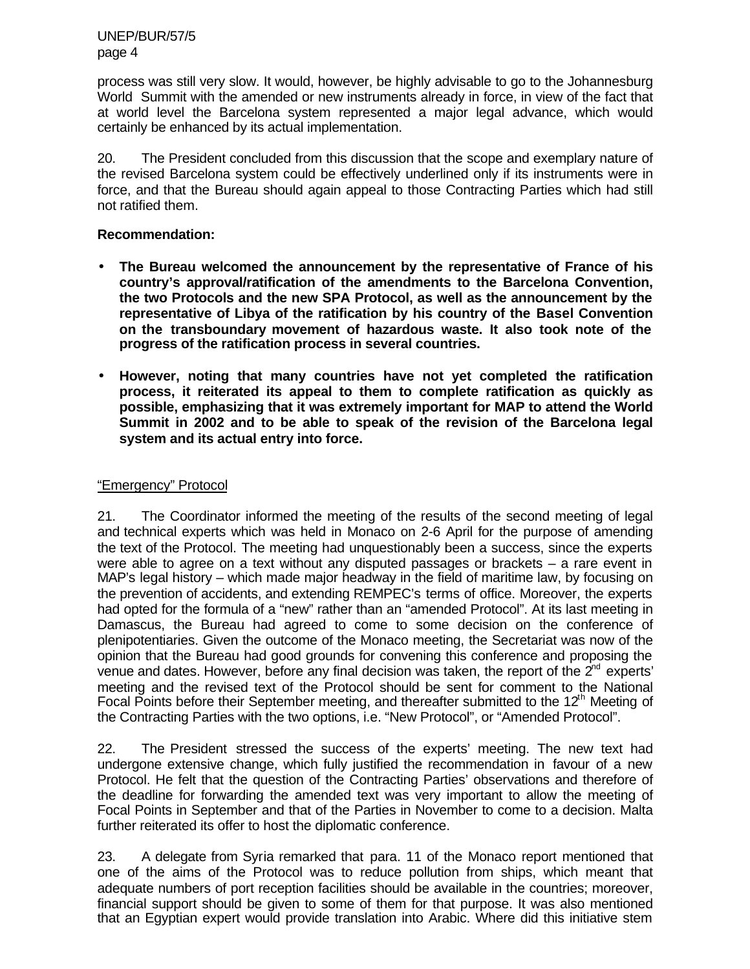UNEP/BUR/57/5 page 4

process was still very slow. It would, however, be highly advisable to go to the Johannesburg World Summit with the amended or new instruments already in force, in view of the fact that at world level the Barcelona system represented a major legal advance, which would certainly be enhanced by its actual implementation.

20. The President concluded from this discussion that the scope and exemplary nature of the revised Barcelona system could be effectively underlined only if its instruments were in force, and that the Bureau should again appeal to those Contracting Parties which had still not ratified them.

#### **Recommendation:**

- **The Bureau welcomed the announcement by the representative of France of his country's approval/ratification of the amendments to the Barcelona Convention, the two Protocols and the new SPA Protocol, as well as the announcement by the representative of Libya of the ratification by his country of the Basel Convention on the transboundary movement of hazardous waste. It also took note of the progress of the ratification process in several countries.**
- **However, noting that many countries have not yet completed the ratification process, it reiterated its appeal to them to complete ratification as quickly as possible, emphasizing that it was extremely important for MAP to attend the World Summit in 2002 and to be able to speak of the revision of the Barcelona legal system and its actual entry into force.**

#### "Emergency" Protocol

21. The Coordinator informed the meeting of the results of the second meeting of legal and technical experts which was held in Monaco on 2-6 April for the purpose of amending the text of the Protocol. The meeting had unquestionably been a success, since the experts were able to agree on a text without any disputed passages or brackets – a rare event in MAP's legal history – which made major headway in the field of maritime law, by focusing on the prevention of accidents, and extending REMPEC's terms of office. Moreover, the experts had opted for the formula of a "new" rather than an "amended Protocol". At its last meeting in Damascus, the Bureau had agreed to come to some decision on the conference of plenipotentiaries. Given the outcome of the Monaco meeting, the Secretariat was now of the opinion that the Bureau had good grounds for convening this conference and proposing the venue and dates. However, before any final decision was taken, the report of the  $2<sup>nd</sup>$  experts' meeting and the revised text of the Protocol should be sent for comment to the National Focal Points before their September meeting, and thereafter submitted to the  $12<sup>th</sup>$  Meeting of the Contracting Parties with the two options, i.e. "New Protocol", or "Amended Protocol".

22. The President stressed the success of the experts' meeting. The new text had undergone extensive change, which fully justified the recommendation in favour of a new Protocol. He felt that the question of the Contracting Parties' observations and therefore of the deadline for forwarding the amended text was very important to allow the meeting of Focal Points in September and that of the Parties in November to come to a decision. Malta further reiterated its offer to host the diplomatic conference.

23. A delegate from Syria remarked that para. 11 of the Monaco report mentioned that one of the aims of the Protocol was to reduce pollution from ships, which meant that adequate numbers of port reception facilities should be available in the countries; moreover, financial support should be given to some of them for that purpose. It was also mentioned that an Egyptian expert would provide translation into Arabic. Where did this initiative stem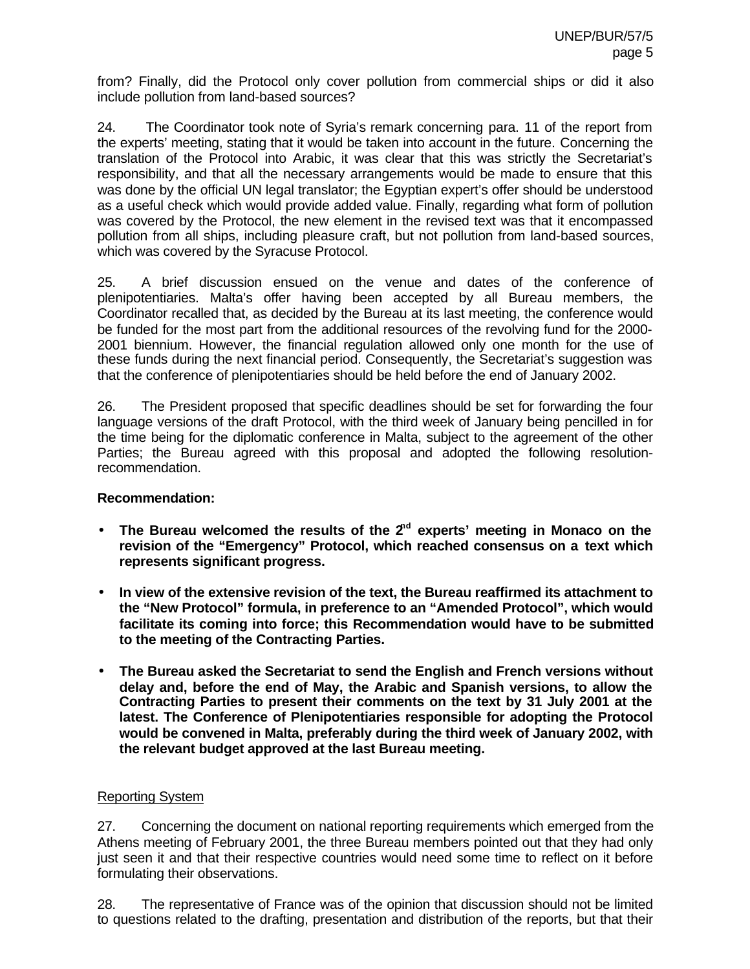from? Finally, did the Protocol only cover pollution from commercial ships or did it also include pollution from land-based sources?

24. The Coordinator took note of Syria's remark concerning para. 11 of the report from the experts' meeting, stating that it would be taken into account in the future. Concerning the translation of the Protocol into Arabic, it was clear that this was strictly the Secretariat's responsibility, and that all the necessary arrangements would be made to ensure that this was done by the official UN legal translator; the Egyptian expert's offer should be understood as a useful check which would provide added value. Finally, regarding what form of pollution was covered by the Protocol, the new element in the revised text was that it encompassed pollution from all ships, including pleasure craft, but not pollution from land-based sources, which was covered by the Syracuse Protocol.

25. A brief discussion ensued on the venue and dates of the conference of plenipotentiaries. Malta's offer having been accepted by all Bureau members, the Coordinator recalled that, as decided by the Bureau at its last meeting, the conference would be funded for the most part from the additional resources of the revolving fund for the 2000- 2001 biennium. However, the financial regulation allowed only one month for the use of these funds during the next financial period. Consequently, the Secretariat's suggestion was that the conference of plenipotentiaries should be held before the end of January 2002.

26. The President proposed that specific deadlines should be set for forwarding the four language versions of the draft Protocol, with the third week of January being pencilled in for the time being for the diplomatic conference in Malta, subject to the agreement of the other Parties; the Bureau agreed with this proposal and adopted the following resolutionrecommendation.

### **Recommendation:**

- The Bureau welcomed the results of the 2<sup>nd</sup> experts' meeting in Monaco on the **revision of the "Emergency" Protocol, which reached consensus on a text which represents significant progress.**
- **In view of the extensive revision of the text, the Bureau reaffirmed its attachment to the "New Protocol" formula, in preference to an "Amended Protocol", which would facilitate its coming into force; this Recommendation would have to be submitted to the meeting of the Contracting Parties.**
- **The Bureau asked the Secretariat to send the English and French versions without delay and, before the end of May, the Arabic and Spanish versions, to allow the Contracting Parties to present their comments on the text by 31 July 2001 at the latest. The Conference of Plenipotentiaries responsible for adopting the Protocol would be convened in Malta, preferably during the third week of January 2002, with the relevant budget approved at the last Bureau meeting.**

### Reporting System

27. Concerning the document on national reporting requirements which emerged from the Athens meeting of February 2001, the three Bureau members pointed out that they had only just seen it and that their respective countries would need some time to reflect on it before formulating their observations.

28. The representative of France was of the opinion that discussion should not be limited to questions related to the drafting, presentation and distribution of the reports, but that their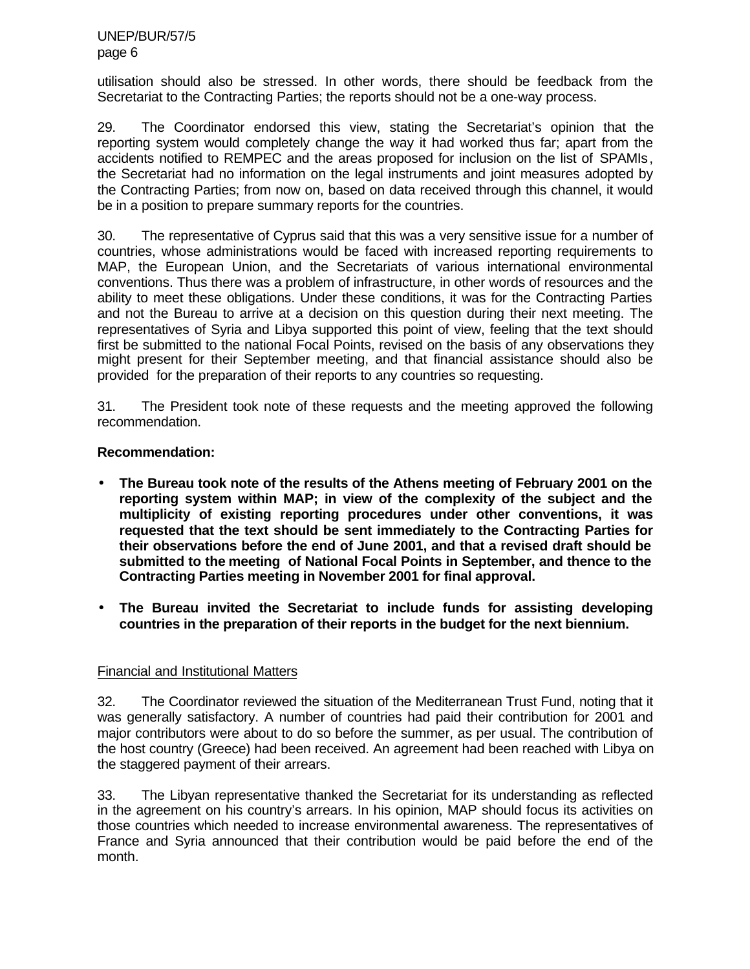utilisation should also be stressed. In other words, there should be feedback from the Secretariat to the Contracting Parties; the reports should not be a one-way process.

29. The Coordinator endorsed this view, stating the Secretariat's opinion that the reporting system would completely change the way it had worked thus far; apart from the accidents notified to REMPEC and the areas proposed for inclusion on the list of SPAMIs, the Secretariat had no information on the legal instruments and joint measures adopted by the Contracting Parties; from now on, based on data received through this channel, it would be in a position to prepare summary reports for the countries.

30. The representative of Cyprus said that this was a very sensitive issue for a number of countries, whose administrations would be faced with increased reporting requirements to MAP, the European Union, and the Secretariats of various international environmental conventions. Thus there was a problem of infrastructure, in other words of resources and the ability to meet these obligations. Under these conditions, it was for the Contracting Parties and not the Bureau to arrive at a decision on this question during their next meeting. The representatives of Syria and Libya supported this point of view, feeling that the text should first be submitted to the national Focal Points, revised on the basis of any observations they might present for their September meeting, and that financial assistance should also be provided for the preparation of their reports to any countries so requesting.

31. The President took note of these requests and the meeting approved the following recommendation.

### **Recommendation:**

- **The Bureau took note of the results of the Athens meeting of February 2001 on the reporting system within MAP; in view of the complexity of the subject and the multiplicity of existing reporting procedures under other conventions, it was requested that the text should be sent immediately to the Contracting Parties for their observations before the end of June 2001, and that a revised draft should be submitted to the meeting of National Focal Points in September, and thence to the Contracting Parties meeting in November 2001 for final approval.**
- **The Bureau invited the Secretariat to include funds for assisting developing countries in the preparation of their reports in the budget for the next biennium.**

### Financial and Institutional Matters

32. The Coordinator reviewed the situation of the Mediterranean Trust Fund, noting that it was generally satisfactory. A number of countries had paid their contribution for 2001 and major contributors were about to do so before the summer, as per usual. The contribution of the host country (Greece) had been received. An agreement had been reached with Libya on the staggered payment of their arrears.

33. The Libyan representative thanked the Secretariat for its understanding as reflected in the agreement on his country's arrears. In his opinion, MAP should focus its activities on those countries which needed to increase environmental awareness. The representatives of France and Syria announced that their contribution would be paid before the end of the month.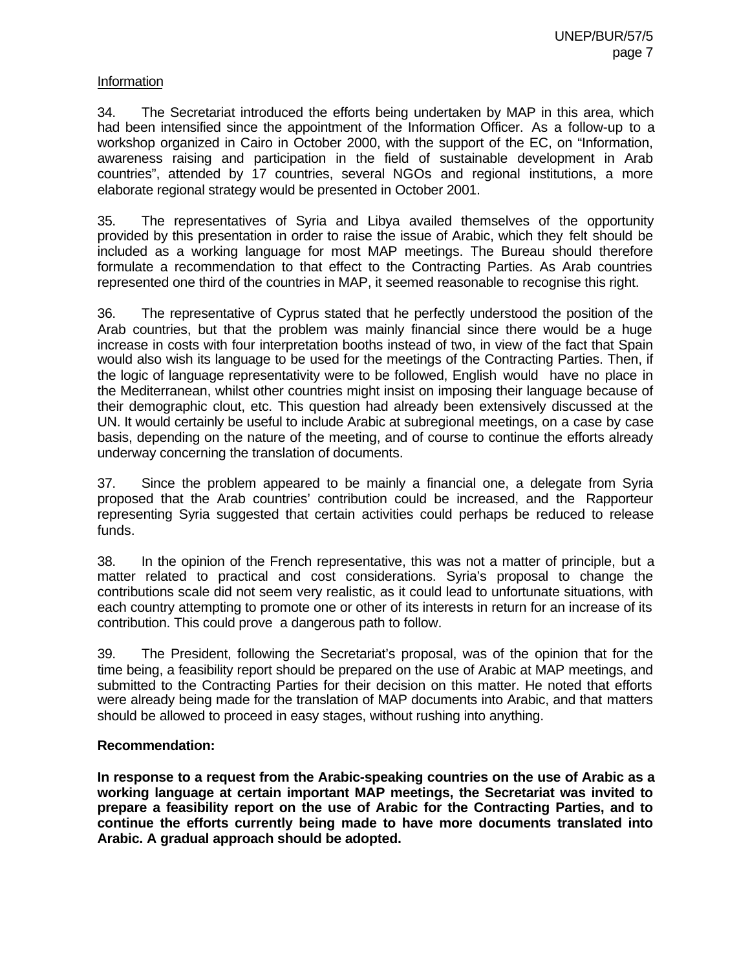#### Information

34. The Secretariat introduced the efforts being undertaken by MAP in this area, which had been intensified since the appointment of the Information Officer. As a follow-up to a workshop organized in Cairo in October 2000, with the support of the EC, on "Information, awareness raising and participation in the field of sustainable development in Arab countries", attended by 17 countries, several NGOs and regional institutions, a more elaborate regional strategy would be presented in October 2001.

35. The representatives of Syria and Libya availed themselves of the opportunity provided by this presentation in order to raise the issue of Arabic, which they felt should be included as a working language for most MAP meetings. The Bureau should therefore formulate a recommendation to that effect to the Contracting Parties. As Arab countries represented one third of the countries in MAP, it seemed reasonable to recognise this right.

36. The representative of Cyprus stated that he perfectly understood the position of the Arab countries, but that the problem was mainly financial since there would be a huge increase in costs with four interpretation booths instead of two, in view of the fact that Spain would also wish its language to be used for the meetings of the Contracting Parties. Then, if the logic of language representativity were to be followed, English would have no place in the Mediterranean, whilst other countries might insist on imposing their language because of their demographic clout, etc. This question had already been extensively discussed at the UN. It would certainly be useful to include Arabic at subregional meetings, on a case by case basis, depending on the nature of the meeting, and of course to continue the efforts already underway concerning the translation of documents.

37. Since the problem appeared to be mainly a financial one, a delegate from Syria proposed that the Arab countries' contribution could be increased, and the Rapporteur representing Syria suggested that certain activities could perhaps be reduced to release funds.

38. In the opinion of the French representative, this was not a matter of principle, but a matter related to practical and cost considerations. Syria's proposal to change the contributions scale did not seem very realistic, as it could lead to unfortunate situations, with each country attempting to promote one or other of its interests in return for an increase of its contribution. This could prove a dangerous path to follow.

39. The President, following the Secretariat's proposal, was of the opinion that for the time being, a feasibility report should be prepared on the use of Arabic at MAP meetings, and submitted to the Contracting Parties for their decision on this matter. He noted that efforts were already being made for the translation of MAP documents into Arabic, and that matters should be allowed to proceed in easy stages, without rushing into anything.

#### **Recommendation:**

**In response to a request from the Arabic-speaking countries on the use of Arabic as a working language at certain important MAP meetings, the Secretariat was invited to prepare a feasibility report on the use of Arabic for the Contracting Parties, and to continue the efforts currently being made to have more documents translated into Arabic. A gradual approach should be adopted.**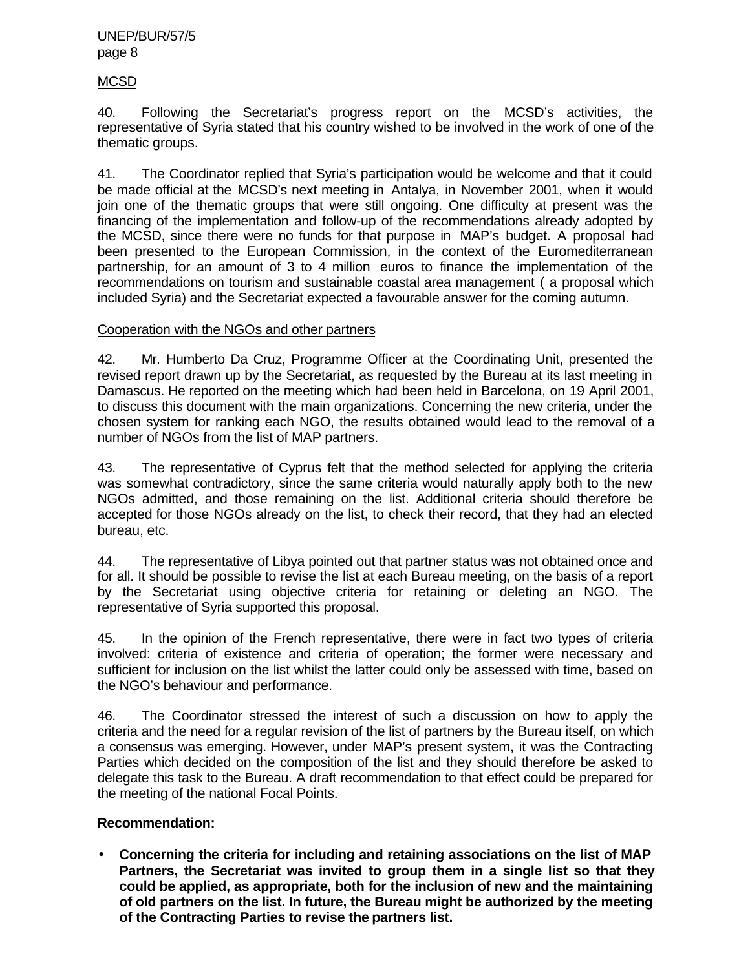#### UNEP/BUR/57/5 page 8

#### MCSD

40. Following the Secretariat's progress report on the MCSD's activities, the representative of Syria stated that his country wished to be involved in the work of one of the thematic groups.

41. The Coordinator replied that Syria's participation would be welcome and that it could be made official at the MCSD's next meeting in Antalya, in November 2001, when it would join one of the thematic groups that were still ongoing. One difficulty at present was the financing of the implementation and follow-up of the recommendations already adopted by the MCSD, since there were no funds for that purpose in MAP's budget. A proposal had been presented to the European Commission, in the context of the Euromediterranean partnership, for an amount of 3 to 4 million euros to finance the implementation of the recommendations on tourism and sustainable coastal area management ( a proposal which included Syria) and the Secretariat expected a favourable answer for the coming autumn.

#### Cooperation with the NGOs and other partners

42. Mr. Humberto Da Cruz, Programme Officer at the Coordinating Unit, presented the revised report drawn up by the Secretariat, as requested by the Bureau at its last meeting in Damascus. He reported on the meeting which had been held in Barcelona, on 19 April 2001, to discuss this document with the main organizations. Concerning the new criteria, under the chosen system for ranking each NGO, the results obtained would lead to the removal of a number of NGOs from the list of MAP partners.

43. The representative of Cyprus felt that the method selected for applying the criteria was somewhat contradictory, since the same criteria would naturally apply both to the new NGOs admitted, and those remaining on the list. Additional criteria should therefore be accepted for those NGOs already on the list, to check their record, that they had an elected bureau, etc.

44. The representative of Libya pointed out that partner status was not obtained once and for all. It should be possible to revise the list at each Bureau meeting, on the basis of a report by the Secretariat using objective criteria for retaining or deleting an NGO. The representative of Syria supported this proposal.

45. In the opinion of the French representative, there were in fact two types of criteria involved: criteria of existence and criteria of operation; the former were necessary and sufficient for inclusion on the list whilst the latter could only be assessed with time, based on the NGO's behaviour and performance.

46. The Coordinator stressed the interest of such a discussion on how to apply the criteria and the need for a regular revision of the list of partners by the Bureau itself, on which a consensus was emerging. However, under MAP's present system, it was the Contracting Parties which decided on the composition of the list and they should therefore be asked to delegate this task to the Bureau. A draft recommendation to that effect could be prepared for the meeting of the national Focal Points.

### **Recommendation:**

• **Concerning the criteria for including and retaining associations on the list of MAP Partners, the Secretariat was invited to group them in a single list so that they could be applied, as appropriate, both for the inclusion of new and the maintaining of old partners on the list. In future, the Bureau might be authorized by the meeting of the Contracting Parties to revise the partners list.**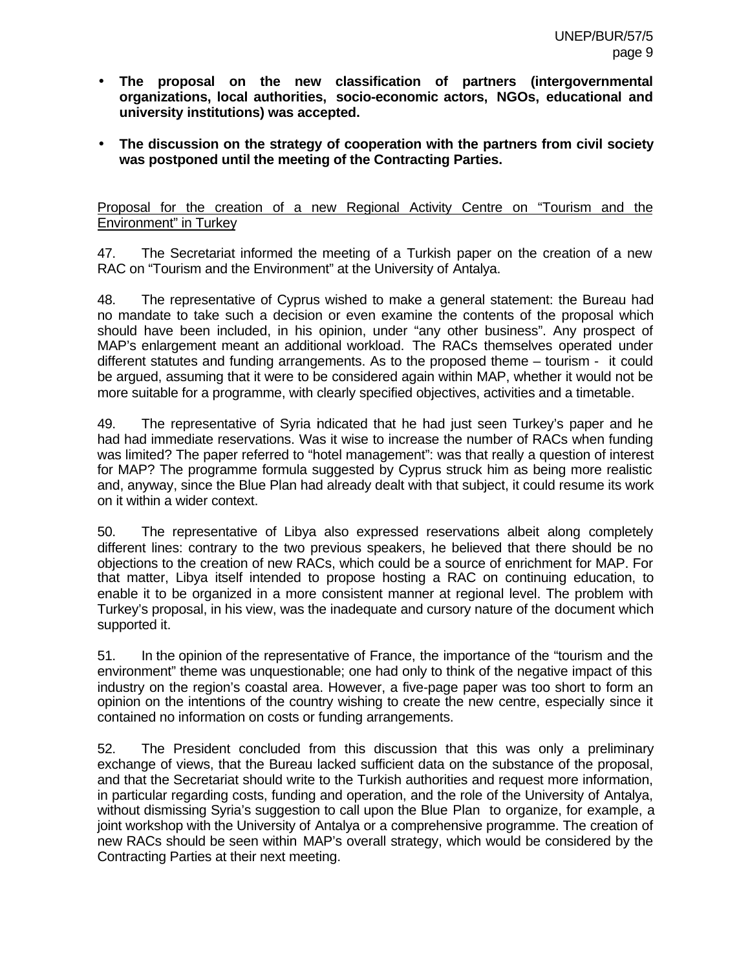- **The proposal on the new classification of partners (intergovernmental organizations, local authorities, socio-economic actors, NGOs, educational and university institutions) was accepted.**
- **The discussion on the strategy of cooperation with the partners from civil society was postponed until the meeting of the Contracting Parties.**

Proposal for the creation of a new Regional Activity Centre on "Tourism and the Environment" in Turkey

47. The Secretariat informed the meeting of a Turkish paper on the creation of a new RAC on "Tourism and the Environment" at the University of Antalya.

48. The representative of Cyprus wished to make a general statement: the Bureau had no mandate to take such a decision or even examine the contents of the proposal which should have been included, in his opinion, under "any other business". Any prospect of MAP's enlargement meant an additional workload. The RACs themselves operated under different statutes and funding arrangements. As to the proposed theme – tourism - it could be argued, assuming that it were to be considered again within MAP, whether it would not be more suitable for a programme, with clearly specified objectives, activities and a timetable.

49. The representative of Syria indicated that he had just seen Turkey's paper and he had had immediate reservations. Was it wise to increase the number of RACs when funding was limited? The paper referred to "hotel management": was that really a question of interest for MAP? The programme formula suggested by Cyprus struck him as being more realistic and, anyway, since the Blue Plan had already dealt with that subject, it could resume its work on it within a wider context.

50. The representative of Libya also expressed reservations albeit along completely different lines: contrary to the two previous speakers, he believed that there should be no objections to the creation of new RACs, which could be a source of enrichment for MAP. For that matter, Libya itself intended to propose hosting a RAC on continuing education, to enable it to be organized in a more consistent manner at regional level. The problem with Turkey's proposal, in his view, was the inadequate and cursory nature of the document which supported it.

51. In the opinion of the representative of France, the importance of the "tourism and the environment" theme was unquestionable; one had only to think of the negative impact of this industry on the region's coastal area. However, a five-page paper was too short to form an opinion on the intentions of the country wishing to create the new centre, especially since it contained no information on costs or funding arrangements.

52. The President concluded from this discussion that this was only a preliminary exchange of views, that the Bureau lacked sufficient data on the substance of the proposal, and that the Secretariat should write to the Turkish authorities and request more information, in particular regarding costs, funding and operation, and the role of the University of Antalya, without dismissing Syria's suggestion to call upon the Blue Plan to organize, for example, a joint workshop with the University of Antalya or a comprehensive programme. The creation of new RACs should be seen within MAP's overall strategy, which would be considered by the Contracting Parties at their next meeting.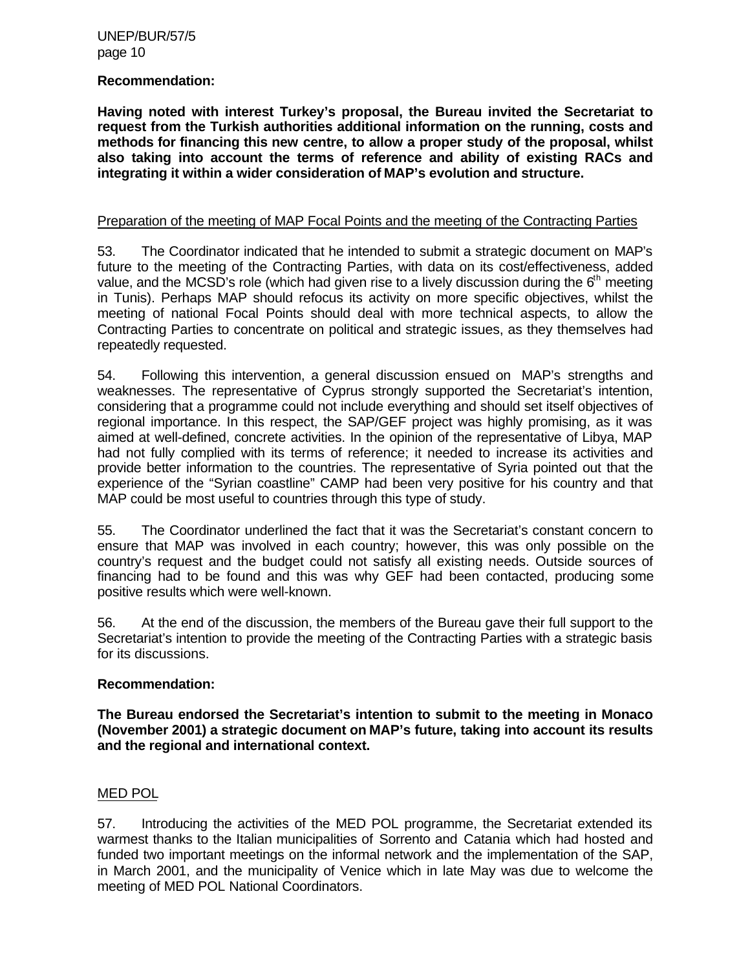UNEP/BUR/57/5 page 10

#### **Recommendation:**

**Having noted with interest Turkey's proposal, the Bureau invited the Secretariat to request from the Turkish authorities additional information on the running, costs and methods for financing this new centre, to allow a proper study of the proposal, whilst also taking into account the terms of reference and ability of existing RACs and integrating it within a wider consideration of MAP's evolution and structure.**

#### Preparation of the meeting of MAP Focal Points and the meeting of the Contracting Parties

53. The Coordinator indicated that he intended to submit a strategic document on MAP's future to the meeting of the Contracting Parties, with data on its cost/effectiveness, added value, and the MCSD's role (which had given rise to a lively discussion during the  $6<sup>th</sup>$  meeting in Tunis). Perhaps MAP should refocus its activity on more specific objectives, whilst the meeting of national Focal Points should deal with more technical aspects, to allow the Contracting Parties to concentrate on political and strategic issues, as they themselves had repeatedly requested.

54. Following this intervention, a general discussion ensued on MAP's strengths and weaknesses. The representative of Cyprus strongly supported the Secretariat's intention, considering that a programme could not include everything and should set itself objectives of regional importance. In this respect, the SAP/GEF project was highly promising, as it was aimed at well-defined, concrete activities. In the opinion of the representative of Libya, MAP had not fully complied with its terms of reference; it needed to increase its activities and provide better information to the countries. The representative of Syria pointed out that the experience of the "Syrian coastline" CAMP had been very positive for his country and that MAP could be most useful to countries through this type of study.

55. The Coordinator underlined the fact that it was the Secretariat's constant concern to ensure that MAP was involved in each country; however, this was only possible on the country's request and the budget could not satisfy all existing needs. Outside sources of financing had to be found and this was why GEF had been contacted, producing some positive results which were well-known.

56. At the end of the discussion, the members of the Bureau gave their full support to the Secretariat's intention to provide the meeting of the Contracting Parties with a strategic basis for its discussions.

#### **Recommendation:**

**The Bureau endorsed the Secretariat's intention to submit to the meeting in Monaco (November 2001) a strategic document on MAP's future, taking into account its results and the regional and international context.**

#### MED POL

57. Introducing the activities of the MED POL programme, the Secretariat extended its warmest thanks to the Italian municipalities of Sorrento and Catania which had hosted and funded two important meetings on the informal network and the implementation of the SAP, in March 2001, and the municipality of Venice which in late May was due to welcome the meeting of MED POL National Coordinators.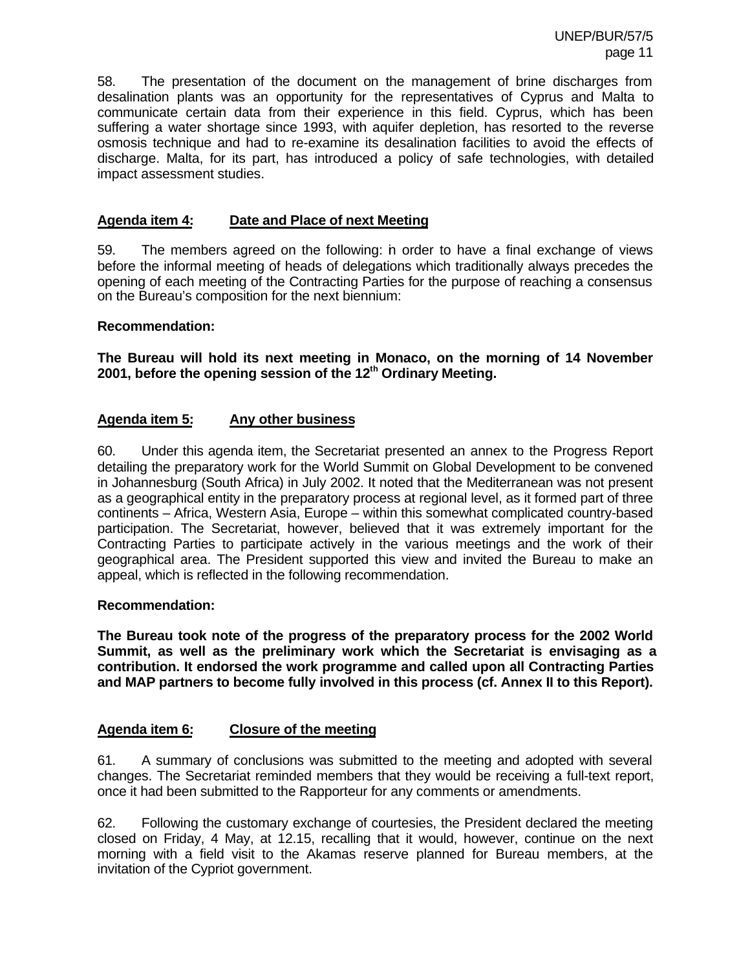58. The presentation of the document on the management of brine discharges from desalination plants was an opportunity for the representatives of Cyprus and Malta to communicate certain data from their experience in this field. Cyprus, which has been suffering a water shortage since 1993, with aquifer depletion, has resorted to the reverse osmosis technique and had to re-examine its desalination facilities to avoid the effects of discharge. Malta, for its part, has introduced a policy of safe technologies, with detailed impact assessment studies.

#### **Agenda item 4: Date and Place of next Meeting**

59. The members agreed on the following: in order to have a final exchange of views before the informal meeting of heads of delegations which traditionally always precedes the opening of each meeting of the Contracting Parties for the purpose of reaching a consensus on the Bureau's composition for the next biennium:

#### **Recommendation:**

**The Bureau will hold its next meeting in Monaco, on the morning of 14 November 2001, before the opening session of the 12th Ordinary Meeting.**

#### **Agenda item 5: Any other business**

60. Under this agenda item, the Secretariat presented an annex to the Progress Report detailing the preparatory work for the World Summit on Global Development to be convened in Johannesburg (South Africa) in July 2002. It noted that the Mediterranean was not present as a geographical entity in the preparatory process at regional level, as it formed part of three continents – Africa, Western Asia, Europe – within this somewhat complicated country-based participation. The Secretariat, however, believed that it was extremely important for the Contracting Parties to participate actively in the various meetings and the work of their geographical area. The President supported this view and invited the Bureau to make an appeal, which is reflected in the following recommendation.

#### **Recommendation:**

**The Bureau took note of the progress of the preparatory process for the 2002 World Summit, as well as the preliminary work which the Secretariat is envisaging as a contribution. It endorsed the work programme and called upon all Contracting Parties and MAP partners to become fully involved in this process (cf. Annex II to this Report).**

#### **Agenda item 6: Closure of the meeting**

61. A summary of conclusions was submitted to the meeting and adopted with several changes. The Secretariat reminded members that they would be receiving a full-text report, once it had been submitted to the Rapporteur for any comments or amendments.

62. Following the customary exchange of courtesies, the President declared the meeting closed on Friday, 4 May, at 12.15, recalling that it would, however, continue on the next morning with a field visit to the Akamas reserve planned for Bureau members, at the invitation of the Cypriot government.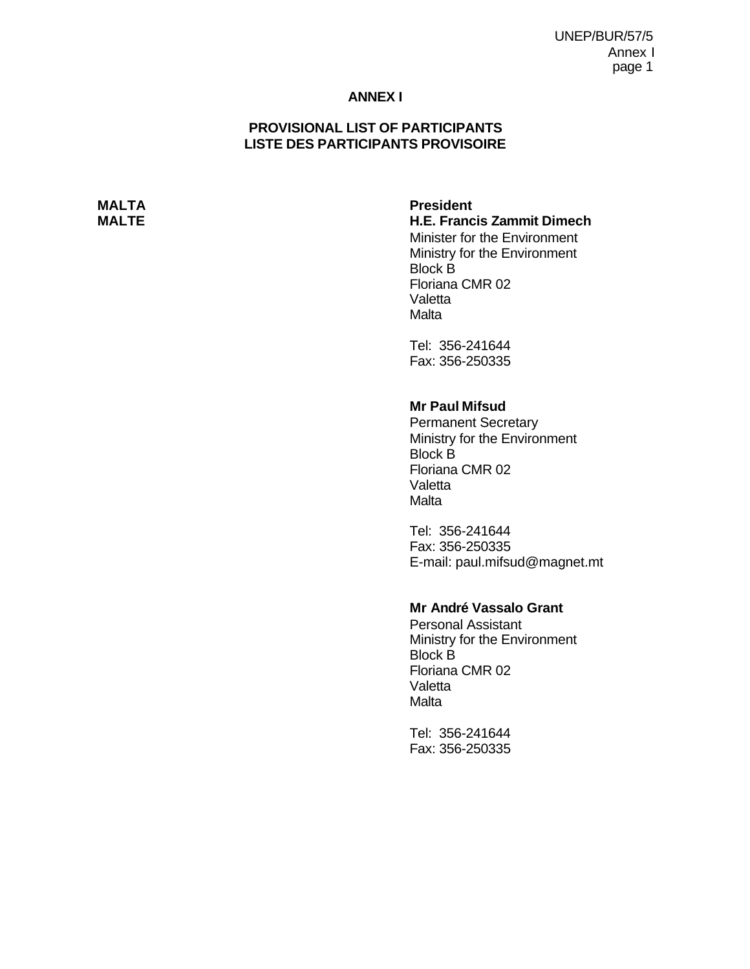UNEP/BUR/57/5 Annex I page 1

#### **ANNEX I**

#### **PROVISIONAL LIST OF PARTICIPANTS LISTE DES PARTICIPANTS PROVISOIRE**

**MALTA President**

**MALTE H.E. Francis Zammit Dimech** Minister for the Environment Ministry for the Environment Block B

> Floriana CMR 02 Valetta Malta

Tel: 356-241644 Fax: 356-250335

### **Mr Paul Mifsud**

Permanent Secretary Ministry for the Environment Block B Floriana CMR 02 Valetta **Malta** 

Tel: 356-241644 Fax: 356-250335 E-mail: paul.mifsud@magnet.mt

#### **Mr André Vassalo Grant**

Personal Assistant Ministry for the Environment Block B Floriana CMR 02 Valetta **Malta** 

Tel: 356-241644 Fax: 356-250335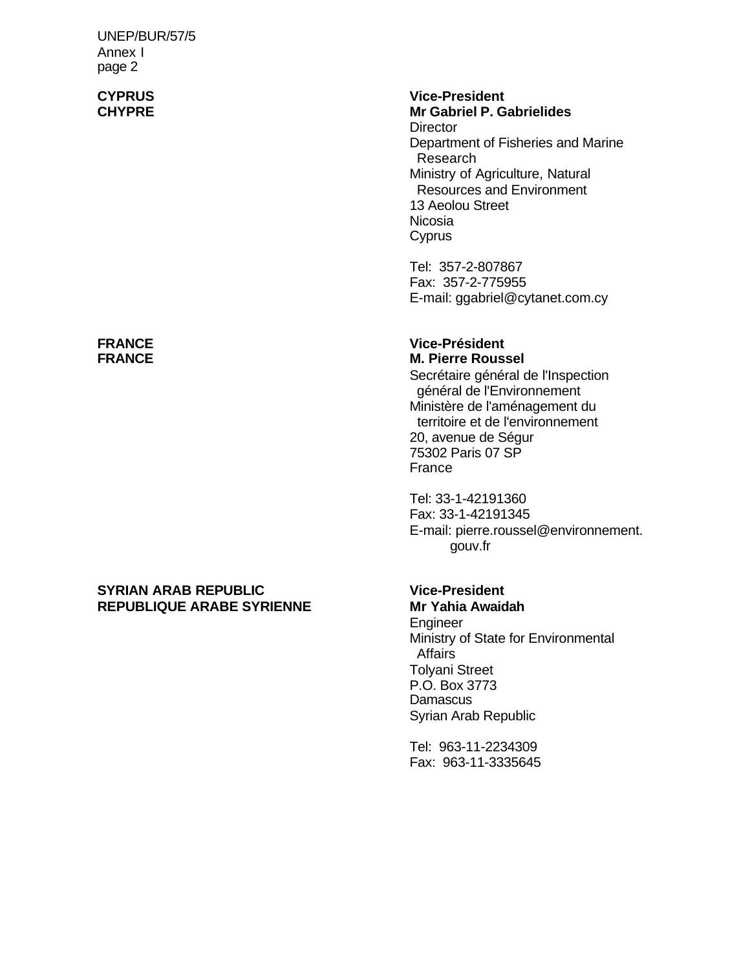UNEP/BUR/57/5 Annex I page 2

#### **SYRIAN ARAB REPUBLIC Vice-President REPUBLIQUE ARABE SYRIENNE**

# **CYPRUS Vice-President**

**Mr Gabriel P. Gabrielides Director** Department of Fisheries and Marine Research Ministry of Agriculture, Natural Resources and Environment 13 Aeolou Street Nicosia **Cyprus** 

Tel: 357-2-807867 Fax: 357-2-775955 E-mail: ggabriel@cytanet.com.cy

#### **FRANCE Vice-Président M. Pierre Roussel**

Secrétaire général de l'Inspection général de l'Environnement Ministère de l'aménagement du territoire et de l'environnement 20, avenue de Ségur 75302 Paris 07 SP France

Tel: 33-1-42191360 Fax: 33-1-42191345 E-mail: pierre.roussel@environnement. gouv.fr

Engineer Ministry of State for Environmental **Affairs** Tolyani Street P.O. Box 3773 **Damascus** Syrian Arab Republic

Tel: 963-11-2234309 Fax: 963-11-3335645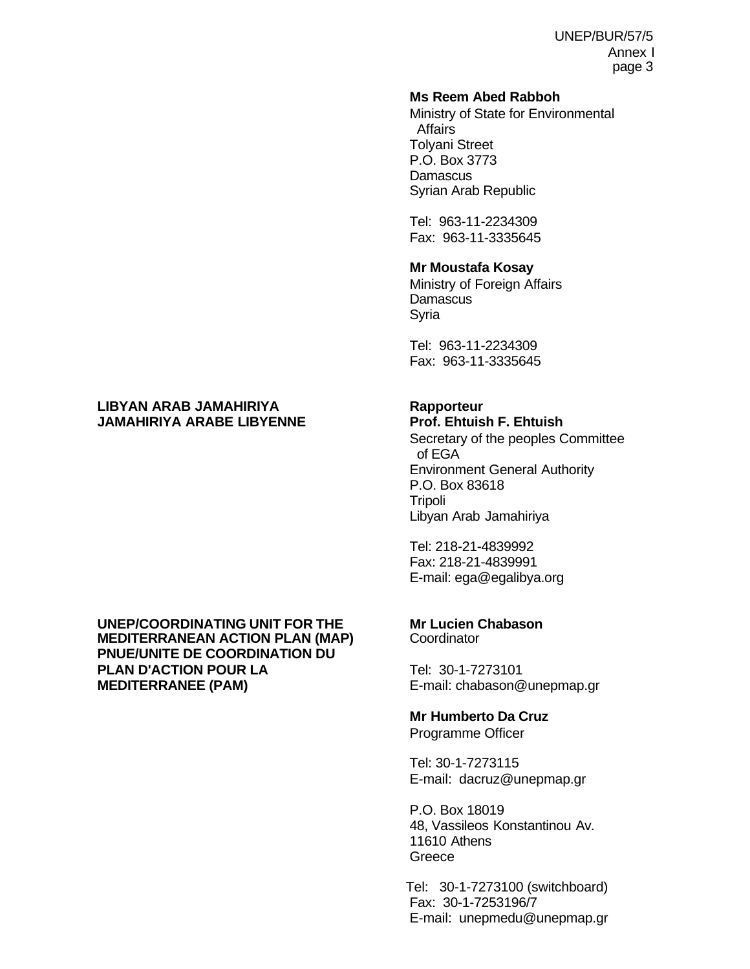#### **Ms Reem Abed Rabboh**

Ministry of State for Environmental Affairs Tolyani Street P.O. Box 3773 **Damascus** Syrian Arab Republic

Tel: 963-11-2234309 Fax: 963-11-3335645

#### **Mr Moustafa Kosay**

Ministry of Foreign Affairs **Damascus** Syria

Tel: 963-11-2234309 Fax: 963-11-3335645

#### **LIBYAN ARAB JAMAHIRIYA Rapporteur JAMAHIRIYA ARABE LIBYENNE Prof. Ehtuish F. Ehtuish**

#### **UNEP/COORDINATING UNIT FOR THE Mr Lucien Chabason MEDITERRANEAN ACTION PLAN (MAP) PNUE/UNITE DE COORDINATION DU PLAN D'ACTION POUR LA** Tel: 30-1-7273101 **MEDITERRANEE (PAM) E-mail: chabason@unepmap.gr**

Secretary of the peoples Committee of EGA Environment General Authority P.O. Box 83618 Tripoli Libyan Arab Jamahiriya

Tel: 218-21-4839992 Fax: 218-21-4839991 E-mail: ega@egalibya.org

#### **Mr Humberto Da Cruz** Programme Officer

Tel: 30-1-7273115 E-mail: dacruz@unepmap.gr

P.O. Box 18019 48, Vassileos Konstantinou Av. 11610 Athens **Greece** 

Tel: 30-1-7273100 (switchboard) Fax: 30-1-7253196/7 E-mail: unepmedu@unepmap.gr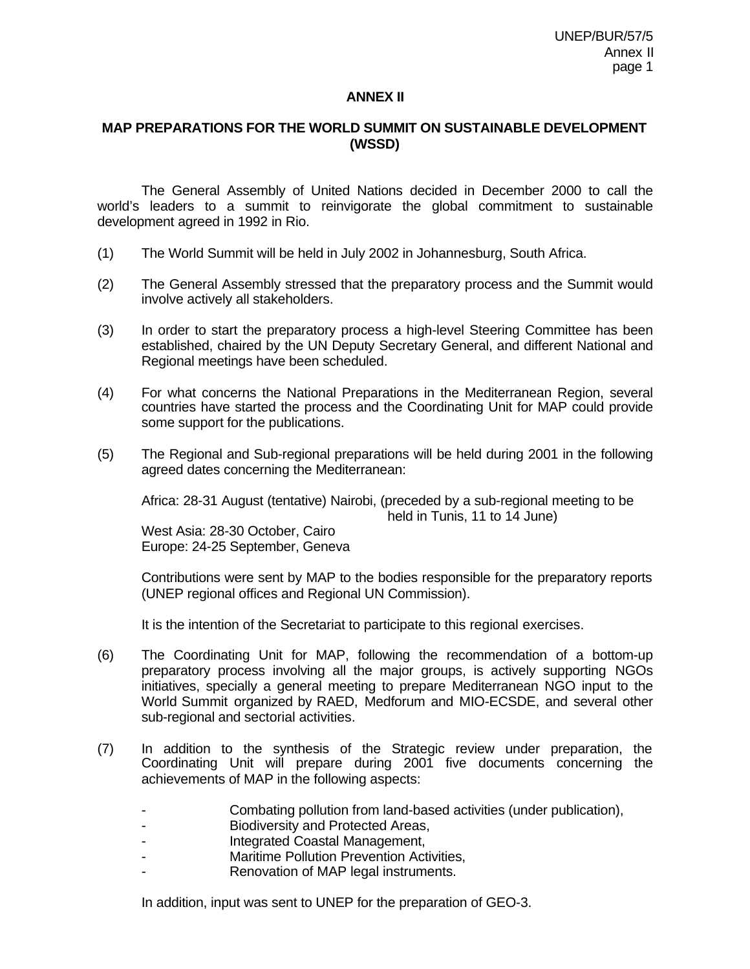#### **ANNEX II**

#### **MAP PREPARATIONS FOR THE WORLD SUMMIT ON SUSTAINABLE DEVELOPMENT (WSSD)**

The General Assembly of United Nations decided in December 2000 to call the world's leaders to a summit to reinvigorate the global commitment to sustainable development agreed in 1992 in Rio.

- (1) The World Summit will be held in July 2002 in Johannesburg, South Africa.
- (2) The General Assembly stressed that the preparatory process and the Summit would involve actively all stakeholders.
- (3) In order to start the preparatory process a high-level Steering Committee has been established, chaired by the UN Deputy Secretary General, and different National and Regional meetings have been scheduled.
- (4) For what concerns the National Preparations in the Mediterranean Region, several countries have started the process and the Coordinating Unit for MAP could provide some support for the publications.
- (5) The Regional and Sub-regional preparations will be held during 2001 in the following agreed dates concerning the Mediterranean:

Africa: 28-31 August (tentative) Nairobi, (preceded by a sub-regional meeting to be held in Tunis, 11 to 14 June)

West Asia: 28-30 October, Cairo Europe: 24-25 September, Geneva

Contributions were sent by MAP to the bodies responsible for the preparatory reports (UNEP regional offices and Regional UN Commission).

It is the intention of the Secretariat to participate to this regional exercises.

- (6) The Coordinating Unit for MAP, following the recommendation of a bottom-up preparatory process involving all the major groups, is actively supporting NGOs initiatives, specially a general meeting to prepare Mediterranean NGO input to the World Summit organized by RAED, Medforum and MIO-ECSDE, and several other sub-regional and sectorial activities.
- (7) In addition to the synthesis of the Strategic review under preparation, the Coordinating Unit will prepare during 2001 five documents concerning the achievements of MAP in the following aspects:
	- Combating pollution from land-based activities (under publication),
	- Biodiversity and Protected Areas,
	- Integrated Coastal Management,
	- Maritime Pollution Prevention Activities,
	- Renovation of MAP legal instruments.

In addition, input was sent to UNEP for the preparation of GEO-3.